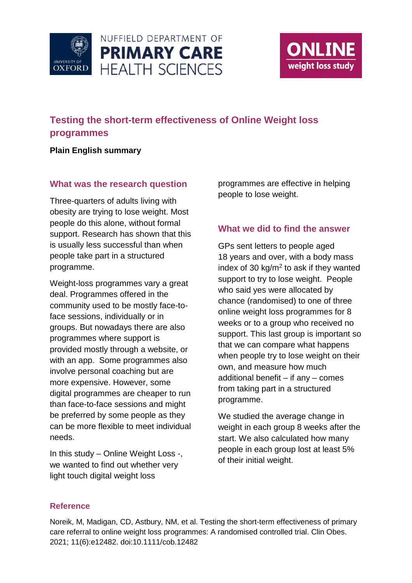



# **Testing the short-term effectiveness of Online Weight loss programmes**

## **Plain English summary**

#### **What was the research question**

Three-quarters of adults living with obesity are trying to lose weight. Most people do this alone, without formal support. Research has shown that this is usually less successful than when people take part in a structured programme.

Weight-loss programmes vary a great deal. Programmes offered in the community used to be mostly face-toface sessions, individually or in groups. But nowadays there are also programmes where support is provided mostly through a website, or with an app. Some programmes also involve personal coaching but are more expensive. However, some digital programmes are cheaper to run than face-to-face sessions and might be preferred by some people as they can be more flexible to meet individual needs.

In this study – Online Weight Loss -, we wanted to find out whether very light touch digital weight loss

programmes are effective in helping people to lose weight.

## **What we did to find the answer**

GPs sent letters to people aged 18 years and over, with a body mass index of 30  $kg/m<sup>2</sup>$  to ask if they wanted support to try to lose weight. People who said yes were allocated by chance (randomised) to one of three online weight loss programmes for 8 weeks or to a group who received no support. This last group is important so that we can compare what happens when people try to lose weight on their own, and measure how much additional benefit – if any – comes from taking part in a structured programme.

We studied the average change in weight in each group 8 weeks after the start. We also calculated how many people in each group lost at least 5% of their initial weight.

#### **Reference**

Noreik, M, Madigan, CD, Astbury, NM, et al. Testing the short-term effectiveness of primary care referral to online weight loss programmes: A randomised controlled trial. Clin Obes. 2021; 11(6):e12482. doi:10.1111/cob.12482